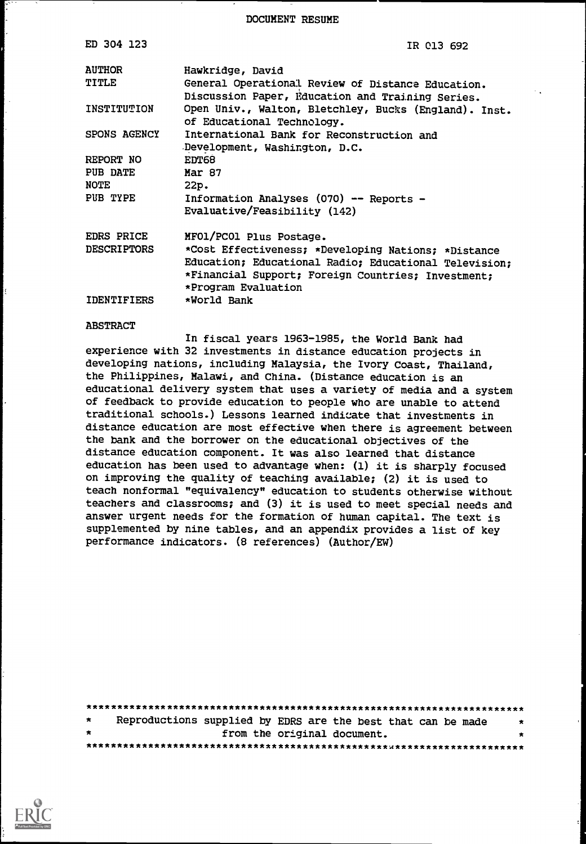DOCUMENT RESUME

| ED 304 123         | IR 013 692                                                                                                                                                                                |
|--------------------|-------------------------------------------------------------------------------------------------------------------------------------------------------------------------------------------|
| <b>AUTHOR</b>      | Hawkridge, David                                                                                                                                                                          |
| <b>TITLE</b>       | General Operational Review of Distance Education.<br>Discussion Paper, Education and Training Series.                                                                                     |
| INSTITUTION        | Open Univ., Walton, Bletchley, Bucks (England). Inst.<br>of Educational Technology.                                                                                                       |
| SPONS AGENCY       | International Bank for Reconstruction and<br>Development, Washington, D.C.                                                                                                                |
| REPORT NO          | EDT68                                                                                                                                                                                     |
| <b>PUB DATE</b>    | Mar 87                                                                                                                                                                                    |
| <b>NOTE</b>        | 22p.                                                                                                                                                                                      |
| PUB TYPE           | Information Analyses (070) -- Reports -<br>Evaluative/Feasibility (142)                                                                                                                   |
| <b>EDRS PRICE</b>  | MFO1/PCO1 Plus Postage.                                                                                                                                                                   |
| <b>DESCRIPTORS</b> | *Cost Effectiveness; *Developing Nations; *Distance<br>Education; Educational Radio; Educational Television;<br>*Financial Support; Foreign Countries; Investment;<br>*Program Evaluation |
| <b>IDENTIFIERS</b> | *World Bank                                                                                                                                                                               |

#### ABSTRACT

In fiscal years 1963-1985, the World Bank had experience with 32 investments in distance education projects in developing nations, including Malaysia, the Ivory Coast, Thailand, the Philippines, Malawi, and China. (Distance education is an educational delivery system that uses a variety of media and a system of feedback to provide education to people who are unable to attend traditional schools.) Lessons learned indicate that investments in distance education are most effective when there is agreement between the bank and the borrower on the educational objectives of the distance education component. It was also learned that distance education has been used to advantage when: (1) it is sharply focused on improving the quality of teaching available; (2) it is used to teach nonformal "equivalency" education to students otherwise without teachers and classrooms; and (3) it is used to meet special needs and answer urgent needs for the formation of human capital. The text is supplemented by nine tables, and an appendix provides a list of key performance indicators. (8 references) (Author/EW)

| $\star$ |  | Reproductions supplied by EDRS are the best that can be made | $\star$ |  |
|---------|--|--------------------------------------------------------------|---------|--|
| $\star$ |  | from the original document.                                  | *       |  |
|         |  |                                                              |         |  |

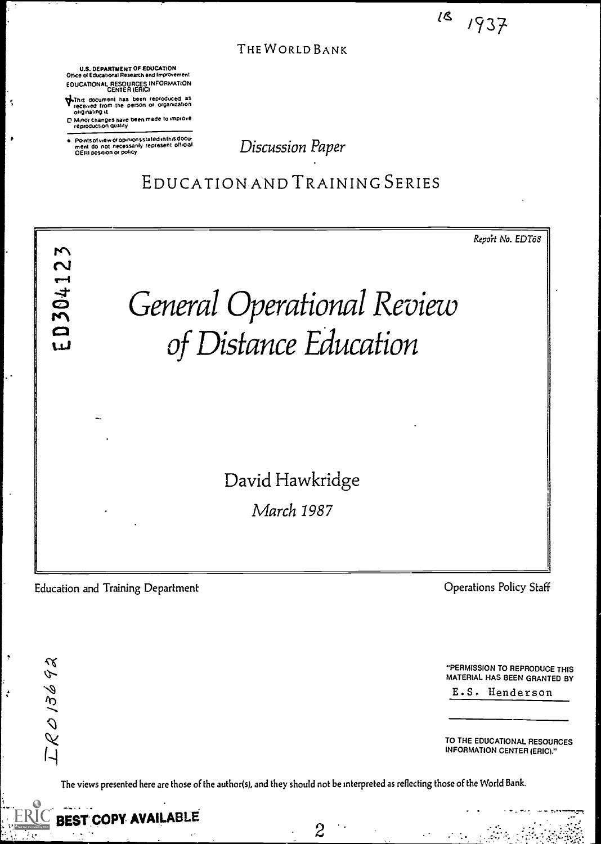$18$   $1937$ 

THE WORLD BANK

U.S. DEPARTMENT OF EDUCATION Office ot Educational Research and Improvement EDUCATIONAL RESOURCES INFORMATION<br>CENTER (ERIC)

\*Du: document has been reproduced as rece.ved from the person or organization

ţ,

- originating rl Minor Changes have been made to improve reproduction Quality
- Points of view or opinions stated in this docu-<br>ment :do: not: necessarily: represent: official<br>OERI position or policy

Discussion Paper

EDUCATION AND TRAINING SERIES



Education and Training Department **Education and Training Department** Operations Policy Staff

 $LR013692$ 

ŀ,

"PERMISSION TO REPRODUCE THIS MATERIAL HAS BEEN GRANTED BY E.S. Henderson

TO THE EDUCATIONAL RESOURCES INFORMATION CENTER (ERIC)."

 $\mathcal{L}^{\text{max}}$ 

The views presented here are those of the author(s), and they should not be interpreted as reflecting those of the World Bank.



 $\mathcal{Z}$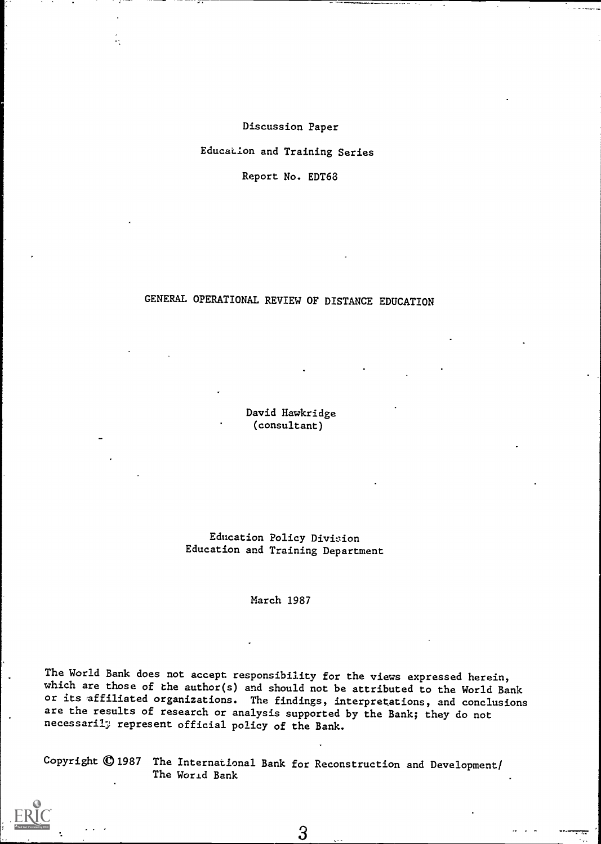Discussion Paper Education and Training Series Report No. EDT68

# GENERAL OPERATIONAL REVIEW OF DISTANCE EDUCATION

David Hawkridge (consultant)

Education Policy Division Education and Training Department

March 1987

The World Bank does not accept responsibility for the views expressed herein, which are those of the author(s) and should not be attributed to the World Bank or its affiliated organizations. The findings, interpretations, and conclusions are the results of research or analysis supported by the Bank; they do not necessaril; represent official policy of the Bank.

Copyright © 1987 The International Bank for Reconstruction and Development/ The World Bank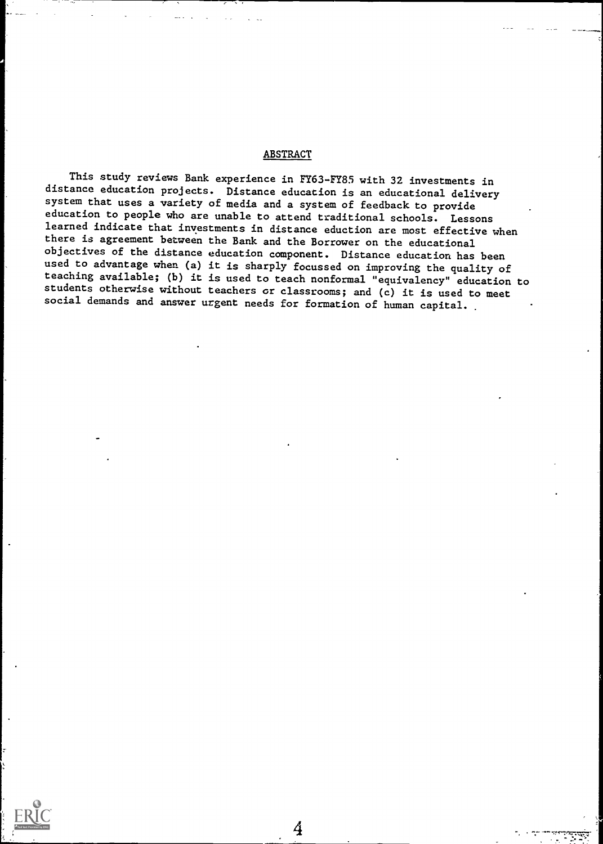### **ABSTRACT**

This study reviews Bank experience in FY63-FY85 with 32 investments in distance education projects. Distance education is an educational delivery system that uses a variety of media and a system of feedback to provide education to people who are unable to attend traditional schools. Lessons learned indicate that investments in distance eduction are most effective when there is agreement between the Bank and the Borrower on the educational objectives of the distance education component. Distance education has been used to advantage when (a) it is sharply focussed on improving the quality of teaching available; (b) it is used to teach nonformal "equivalency" education to students otherwise without teachers or classrooms; and (c) it is used to meet social demands and answer urgent needs for formation of human capital.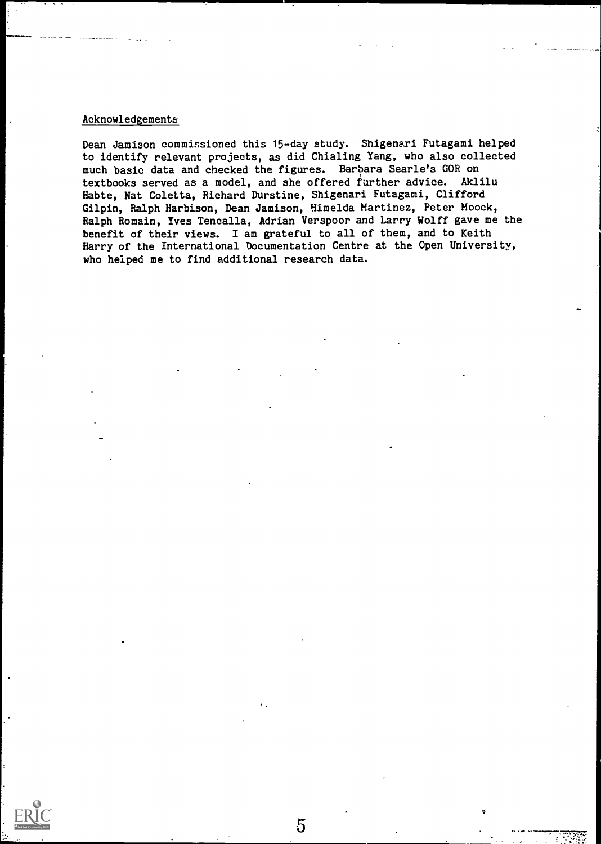# Acknowledgements

Dean Jamison commissioned this 15-day study. Shigenari Futagami helped to identify relevant projects, as did Chialing Yang, w ho also collected much basic data and checked the figures. Barbara Searle's GOR on textbooks served as a model, and she offered further advice. Akl iluHabte, Nat Coletta, Richard Durstine, Shigenari Futagami, Clifford Gilpin, Ralph Harbison, Dean Jamison, Himelda Martinez, Peter Moock, Ralph Romain, Yves Tencalla, Adrian Verspoor and Larry Wolff gave me the benefit of their views. I am grateful to all of them, and to Keith Harry of the International Documentation Centre at the Open University, who helped me to find additional research data.

 $\overline{5}$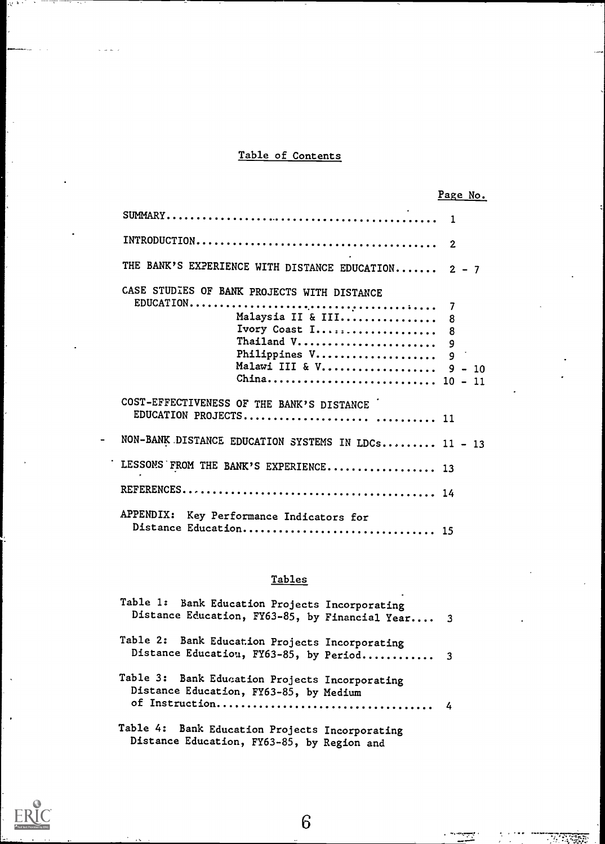# Table of Contents

|                                                                                                                                             | Page No.              |
|---------------------------------------------------------------------------------------------------------------------------------------------|-----------------------|
|                                                                                                                                             |                       |
|                                                                                                                                             | $\overline{2}$        |
| THE BANK'S EXPERIENCE WITH DISTANCE EDUCATION 2 - 7                                                                                         |                       |
| CASE STUDIES OF BANK PROJECTS WITH DISTANCE<br>Malaysia II & III<br>Ivory Coast I<br>Thailand V<br>Philippines V<br>Malawi III & V $9 - 10$ | 7<br>8<br>8<br>9<br>9 |
| COST-EFFECTIVENESS OF THE BANK'S DISTANCE                                                                                                   |                       |
| NON-BANK DISTANCE EDUCATION SYSTEMS IN LDCs 11 - 13                                                                                         |                       |
| LESSONS FROM THE BANK'S EXPERIENCE 13                                                                                                       |                       |
|                                                                                                                                             |                       |
| APPENDIX:<br>Key Performance Indicators for<br>Distance Education 15                                                                        |                       |

# Tables

| Table 1: Bank Education Projects Incorporating<br>Distance Education, FY63-85, by Financial Year 3 |  |
|----------------------------------------------------------------------------------------------------|--|
| Table 2: Bank Education Projects Incorporating<br>Distance Education, FY63-85, by Period 3         |  |
| Table 3: Bank Education Projects Incorporating<br>Distance Education, FY63-85, by Medium           |  |
| Table 4: Bank Education Projects Incorporating<br>Distance Education, FY63-85, by Region and       |  |

6

÷

٠,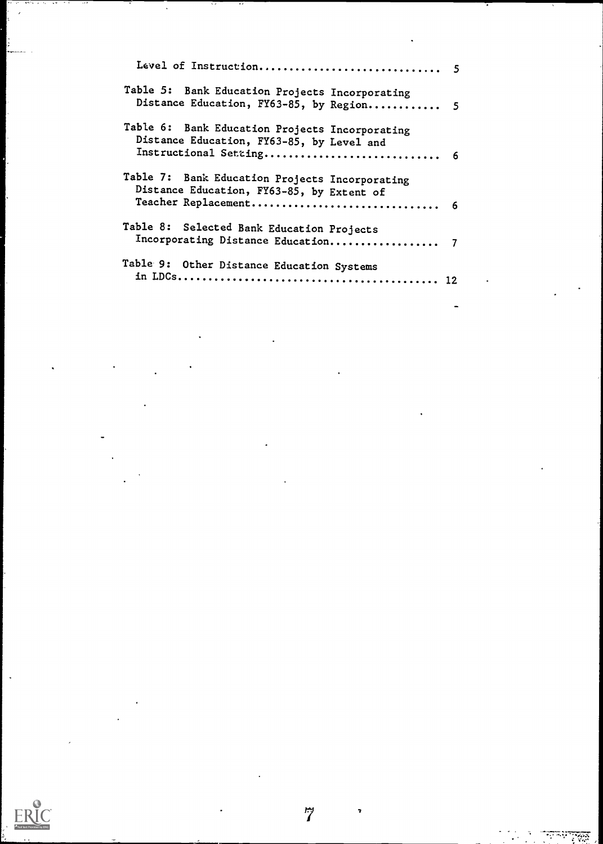| Table 5: Bank Education Projects Incorporating<br>Distance Education, FY63-85, by Region 5                             |  |
|------------------------------------------------------------------------------------------------------------------------|--|
| Table 6: Bank Education Projects Incorporating<br>Distance Education, FY63-85, by Level and<br>Instructional Setting 6 |  |
| Table 7: Bank Education Projects Incorporating<br>Distance Education, FY63-85, by Extent of                            |  |
| Table 8: Selected Bank Education Projects                                                                              |  |
| Table 9: Other Distance Education Systems                                                                              |  |

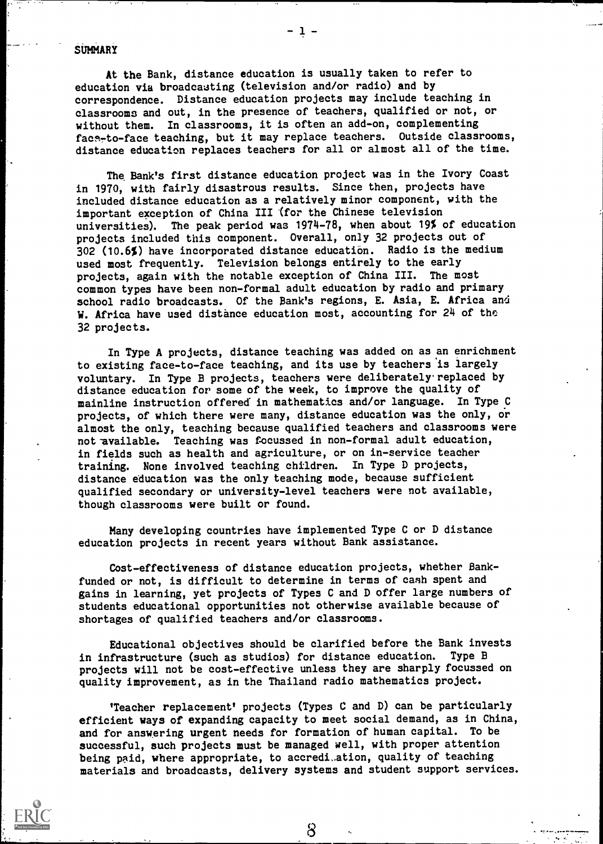### **SUMMARY**

At the Bank, distance education is usually taken to refer to education via broadcasting (television and/or radio) and by correspondence. Distance education projects may include teaching in classrooms and out, in the presence of teachers, qualified or not, or without them. In classrooms, it is often an add-on, complementing face-to-face teaching, but it may replace teachers. Outside classrooms, distance education replaces teachers for all or almost all of the time.

The Bank's first distance education project was in the Ivory Coast in 1970, with fairly disastrous results. Since then, projects have included distance education as a relatively minor component, with the important exception of China III '(for the Chinese television universities). The peak period was 1974-78, when about 19% of education projects included this component. Overall, only 32 projects out of 302 (10.6%) have incorporated distance education. Radio is the medium used most frequently. Television belongs entirely to the early projects, again with the notable exception of China III. The most common types have been non-formal adult education by radio and primary school radio broadcasts. Of the Bank's regions, E. Asia, E. Africa and W. Africa have used distance education most, accounting for 24 of the 32 projects.

In Type A projects, distance teaching was added on as an enrichment to existing face-to-face teaching, and its use by teachers is largely voluntary. In Type B projects, teachers were deliberately. replaced by distance education for some of the week, to improve the quality of mainline instruction offered in mathematics and/or language. In Type C projects, of which there were many, distance education was the only, or almost the only, teaching because qualified teachers and classrooms were not available. Teaching was focussed in non-formal adult education, in fields such as health and agriculture, or on in-service teacher training. None involved teaching children. In Type D projects, distance education was the only teaching mode, because sufficient qualified secondary or university-level teachers were not available, though classrooms were built or found.

Many developing countries have implemented Type C or D distance education projects in recent years without Bank assistance.

Cost-effectiveness of distance education projects, whether Bankfunded or not, is difficult to determine in terms of cash spent and gains in learning, yet projects of Types C and D offer large numbers of students educational opportunities not otherwise available because of shortages of qualified teachers and/or classrooms.

Educational objectives should be clarified before the Bank invests in infrastructure (such as studios) for distance education. Type B projects will not be cost-effective unless they are sharply focussed on quality improvement, as in the Thailand radio mathematics project.

'Teacher replacement' projects (Types C and D) can be particularly efficient ways of expanding capacity to meet social demand, as in China, and for answering urgent needs for formation of human capital. To be successful, such projects must be managed well, with proper attention being paid, where appropriate, to accredi,ation, quality of teaching materials and broadcasts, delivery systems and student support services.

8

 $-1 -$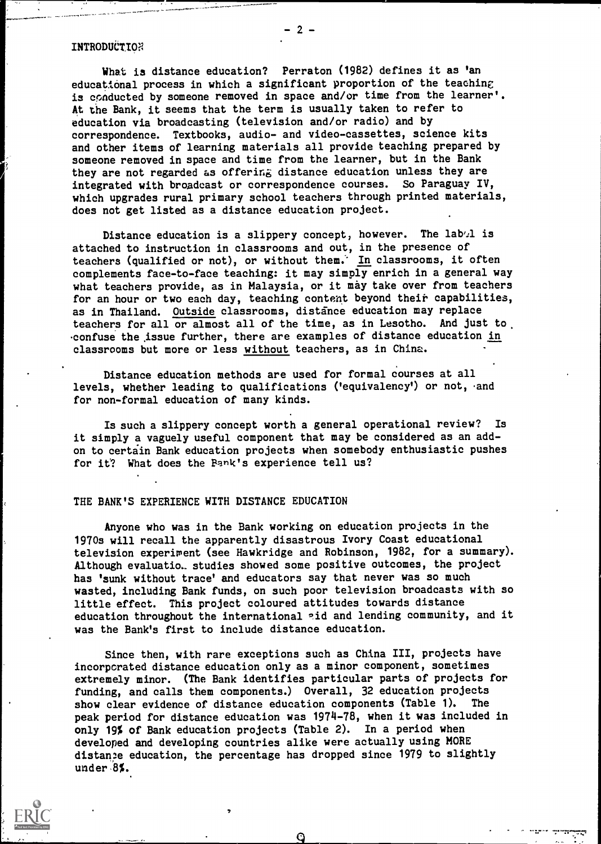### INTRODUCTION

What is distance education? Perraton (1982) defines it as 'an educational process in which a significant proportion of the teaching is conducted by someone removed in space and/or time from the learner'. At the Bank, it seems that the term is usually taken to refer to education via broadcasting (television and/or radio) and by correspondence. Textbooks, audio- and video-cassettes, science kits and other items of learning materials all provide teaching prepared by someone removed in space and time from the learner, but in the Bank they are not regarded as offering distance education unless they are integrated with broadcast or correspondence courses. So Paraguay IV, which upgrades rural primary school teachers through printed materials, does not get listed as a distance education project.

Distance education is a slippery concept, however. The lab $/1$  is attached to instruction in classrooms and out, in the presence of teachers (qualified or not), or without them. In classrooms, it often complements face-to-face teaching: it may simply enrich in a general way what teachers provide, as in Malaysia, or it may take over from teachers for an hour or two each day, teaching content beyond their capabilities, as in Thailand. Outside classrooms, distance education may replace teachers for all or almost all of the time, as in Lesotho. And just to confuse the issue further, there are examples of distance education in classrooms but more or less without teachers, as in China.

Distance education methods are used for formal courses at all levels, whether leading to qualifications ('equivalency') or not, and for non-formal education of many kinds.

Is such a slippery concept worth a general operational review? Is it simply a vaguely useful component that may be considered as an addon to certain Bank education projects when somebody enthusiastic pushes for it? What does the Pank's experience tell us?

#### THE BANK'S EXPERIENCE WITH DISTANCE EDUCATION

Anyone who was in the Bank working on education projects in the 1970s will recall the apparently disastrous Ivory Coast educational television experiment (see Hawkridge and Robinson, 1982, for a summary). Although evaluatio. studies showed some positive outcomes, the project has 'sunk without trace' and educators say that never was so much wasted, including Bank funds, on such poor television broadcasts with so little effect. This project coloured attitudes towards distance education throughout the international aid and lending community, and it was the Bank's first to include distance education.

Since then, with rare exceptions such as China III, projects have incorporated distance education only as a minor component, sometimes extremely minor. (The Bank identifies particular parts of projects for funding, and calls them components.) Overall, 32 education projects show clear evidence of distance education components (Table 1). The peak period for distance education was 1974-78, when it was included in only 19% of Bank education projects (Table 2). In a period when developed and developing countries alike were actually using MORE distance education, the percentage has dropped since 1979 to slightly under 8%.

Ô



 $2 -$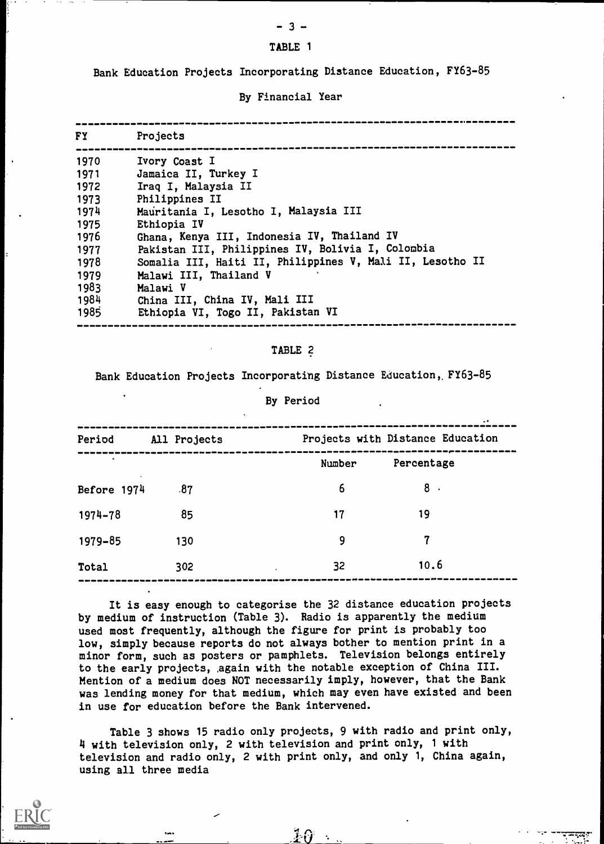# - 3 - TABLE 1

Bank Education Projects Incorporating Distance Education, FY63-85

## By Financial Year

| <b>FY</b> | Projects                                                  |
|-----------|-----------------------------------------------------------|
| 1970      | Ivory Coast I                                             |
| 1971      | Jamaica II, Turkey I                                      |
| 1972      | Iraq I, Malaysia II                                       |
| 1973      | Philippines II                                            |
| 1974      | Mauritania I, Lesotho I, Malaysia III                     |
| 1975      | Ethiopia IV                                               |
| 1976      | Ghana, Kenya III, Indonesia IV, Thailand IV               |
| 1977      | Pakistan III, Philippines IV, Bolivia I, Colombia         |
| 1978      | Somalia III, Haiti II, Philippines V, Mali II, Lesotho II |
| 1979      | Malawi III, Thailand V                                    |
| 1983      | Malawi V                                                  |
| 1984      | China III, China IV, Mali III                             |
| 1985      | Ethiopia VI, Togo II, Pakistan VI                         |

## TABLE 2

Bank Education Projects Incorporating Distance Education, FY63-85

### By Period

|     | Number | Percentage |
|-----|--------|------------|
| .87 | 6      | 8.         |
| 85  | 17     | 19         |
| 130 | 9      | 7          |
| 302 | 32     | 10.6       |
|     |        |            |

It is easy enough to categorise the 32 distance education projects by medium of instruction (Table 3). Radio is apparently the medium used most frequently, although the figure for print is probably too low, simply because reports do not always bother to mention print in a minor form, such as posters or pamphlets. Television belongs entirely to the early projects, ,again with the notable exception of China III. Mention of a medium does NOT necessarily imply, however, that the Bank was lending money for that medium, which may even have existed and been in use for education before the Bank intervened.

Table 3 shows 15 radio only projects, 9 with radio and print only, 4 with television only, 2 with television and print only, 1 with television and radio only, 2 with print only, and only 1, China again, using all three media

 $\pmb{10}$  .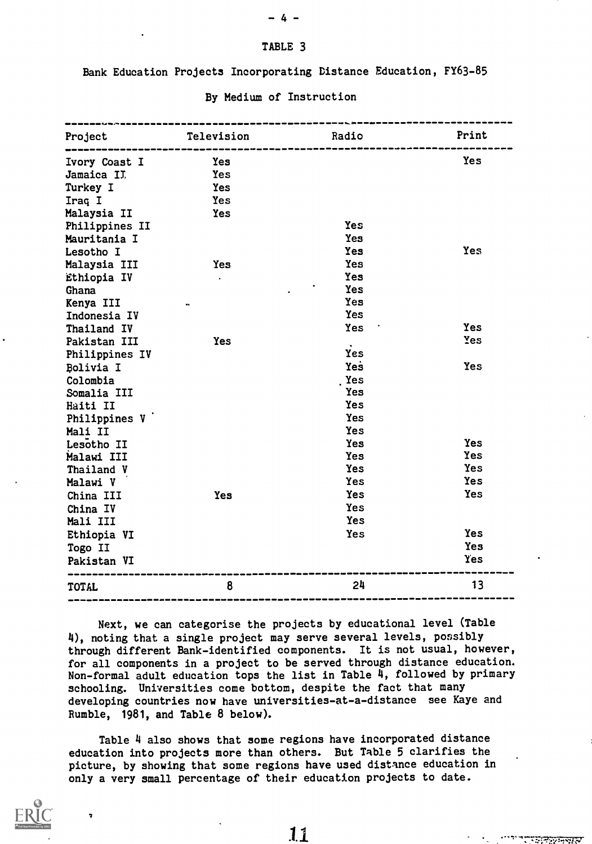# TABLE 3

- 4 -

Bank Education Projects Incorporating Distance Education, FY63-85

| Project        | Television | Radio      | Print      |
|----------------|------------|------------|------------|
| Ivory Coast I  | Yes        |            | Yes        |
| Jamaica II.    | Yes        |            |            |
| Turkey I       | Yes        |            |            |
| Iraq I         | <b>Yes</b> |            |            |
| Malaysia II    | Yes        |            |            |
| Philippines II |            | Yes        |            |
| Mauritania I   |            | Yes        |            |
| Lesotho I      |            | Yes        | <b>Yes</b> |
| Malaysia III   | <b>Yes</b> | Yes        |            |
| Ethiopia IV    | $\bullet$  | Yes        |            |
| Ghana          |            | Yes        |            |
| Kenya III      |            | Yes        |            |
| Indonesia IV   |            | Yes        |            |
| Thailand IV    |            | Yes        | Yes        |
| Pakistan III   | Yes        |            | Yes        |
| Philippines IV |            | Yes        |            |
| Bolivia I      |            | Yes        | Yes        |
| Colombia       |            | Yes        |            |
| Somalia III    |            | Yes        |            |
| Haiti II       |            | Yes        |            |
| Philippines V  |            | Yes        |            |
| Mali II        |            | <b>Yes</b> |            |
| Lesotho II     |            | <b>Yes</b> | <b>Yes</b> |
| Malawi III     |            | Yes        | <b>Yes</b> |
| Thailand V     |            | <b>Yes</b> | <b>Yes</b> |
| Malawi V       |            | <b>Yes</b> | <b>Yes</b> |
| China III      | Yes        | Yes        | Yes        |
| China IV       |            | Yes        |            |
| Mali III       |            | Yes        |            |
| Ethiopia VI    |            | Yes        | <b>Yes</b> |
| Togo II        |            |            | Yes        |
| Pakistan VI    |            |            | Yes        |
| TOTAL          | 8          | 24         | 13         |

### By Medium of Instruction

Next, we can categorise the projects by educational level (Table 4), noting that a single project may serve several levels, possibly through different Bank-identified components. It is not usual, however, for all components in a project to be served through distance education. Non-formal adult education tops the list in Table 4, followed by primary schooling. Universities come bottom, despite the fact that many developing countries now have universities-at-a-distance see Kaye and Rumble, 1981, and Table 8 below).

Table 4 also shows that some regions have incorporated distance education into projects more than others. But Table 5 clarifies the picture, by showing that some regions have used distance education in only a very small percentage of their education projects to date.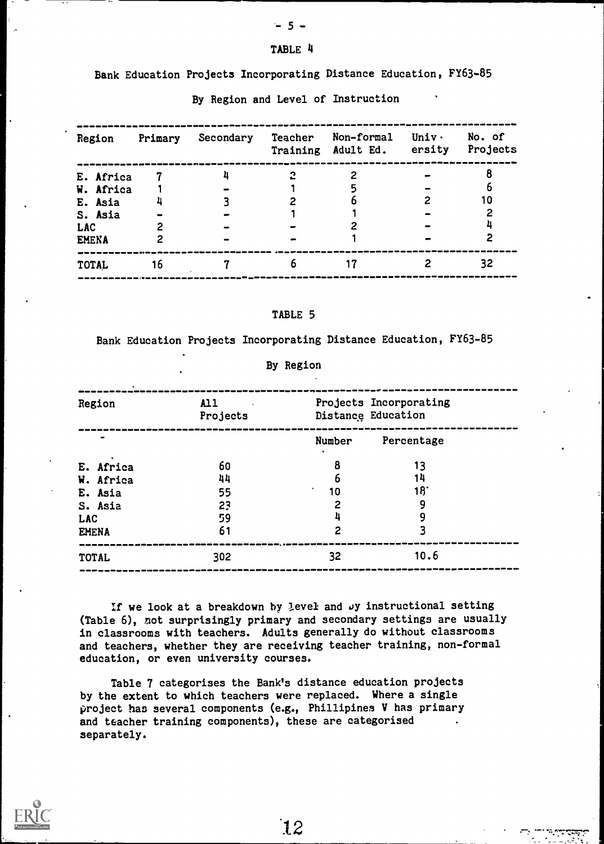# - 5 -

## TABLE 4

## Bank Education Projects Incorporating Distance Education, FY63-85

|     | Region       | Primary | Secondary | <b>Teacher</b> | Non-formal<br>Training Adult Ed. | <b>Univ·</b><br>ersity | No. of<br>Projects |
|-----|--------------|---------|-----------|----------------|----------------------------------|------------------------|--------------------|
|     | E. Africa    |         |           | 2              |                                  |                        |                    |
|     | W. Africa    |         |           |                |                                  |                        |                    |
|     | E. Asia      |         |           |                |                                  |                        | 10                 |
|     | S. Asia      |         |           |                |                                  |                        |                    |
| LAC |              |         |           |                |                                  |                        |                    |
|     | <b>EMENA</b> |         |           |                |                                  |                        |                    |
|     | <b>TOTAL</b> | 16      |           | b              |                                  |                        | 32                 |

# By Region and Level of Instruction

# TABLE 5

Bank Education Projects Incorporating Distance Education, FY63-85

By Region

| Region       | $\mathbf{A}11$<br>Projects |        | Projects Incorporating<br>Distance Education |  |
|--------------|----------------------------|--------|----------------------------------------------|--|
|              |                            | Number | Percentage                                   |  |
| E. Africa    | 60                         | 8      | 13                                           |  |
| W. Africa    | 44                         | 6      | 14                                           |  |
| E. Asia      | 55                         | 10     | 18'                                          |  |
| S. Asia      | 23                         | 2      | 9                                            |  |
| <b>LAC</b>   | 59                         |        | 9                                            |  |
| <b>EMENA</b> | 61                         | 2      |                                              |  |
| <b>TOTAL</b> | 302                        | 32     | 10.6                                         |  |

If we look at a breakdown by level and  $Jy$  instructional setting (Table 6), not surprisingly primary and secondary settings are usually in classrooms with teachers. Adults generally do without classrooms and teachers, whether they are receiving teacher training, non-formal education, or even university courses.

Table 7 categorises the Bank's distance education projects by the extent to which teachers were replaced. Where a single project has several components (e.g., Phillipines V has primary and teacher training components), these are categorised separately.



'12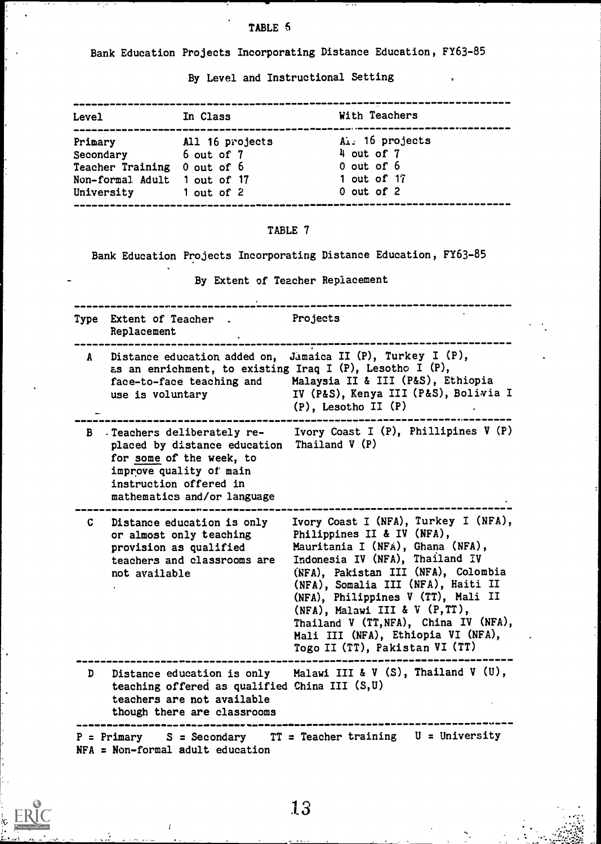Bank Education Projects Incorporating Distance Education, FY63-85

By Level and Instructional Setting

| Level                        | In Class        | With Teachers   |
|------------------------------|-----------------|-----------------|
| Primary                      | All 16 projects | Al. 16 projects |
| Secondary                    | 6 out of 7      | 4 out of 7      |
| Teacher Training 0 out of 6  |                 | $0$ out of $6$  |
| Non-formal Adult 1 out of 17 |                 | 1 out of $17$   |
| University                   | 1 out of 2      | $0$ out of $2$  |
|                              |                 |                 |

# TABLE 7

Bank Education Projects Incorporating Distance Education, FY63-85

By Extent of Teacher Replacement

|    | Type Extent of Teacher.<br>Replacement                                                                                                                                      | Projects                                                                                                                                                                                                                                                                                                                                                                                                           |
|----|-----------------------------------------------------------------------------------------------------------------------------------------------------------------------------|--------------------------------------------------------------------------------------------------------------------------------------------------------------------------------------------------------------------------------------------------------------------------------------------------------------------------------------------------------------------------------------------------------------------|
|    | A Distance education added on,<br>as an enrichment, to existing Iraq I (P), Lesotho I (P),<br>face-to-face teaching and<br>use is voluntary                                 | Jamaica II (P), Turkey I (P),<br>Malaysia II & III (P&S), Ethiopia<br>IV (P&S), Kenya III (P&S), Bolivia I<br>$(P)$ , Lesotho II $(P)$                                                                                                                                                                                                                                                                             |
|    | B Teachers deliberately re-<br>placed by distance education<br>for some of the week, to<br>improve quality of main<br>instruction offered in<br>mathematics and/or language | Ivory Coast I (P), Phillipines V (P)<br>Thailand $V(P)$                                                                                                                                                                                                                                                                                                                                                            |
| C. | Distance education is only<br>or almost only teaching<br>provision as qualified<br>teachers and classrooms are<br>not available                                             | Ivory Coast I (NFA), Turkey I (NFA),<br>Philippines II & IV (NFA),<br>Mauritania I (NFA), Ghana (NFA),<br>Indonesia IV (NFA), Thailand IV<br>(NFA), Pakistan III (NFA), Colombia<br>(NFA), Somalia III (NFA), Haiti II<br>(NFA), Philippines V (TT), Mali II<br>(NFA), Malawi III & V $(P, TT)$ ,<br>Thailand V (TT, NFA), China IV (NFA),<br>Mali III (NFA), Ethiopia VI (NFA),<br>Togo II (TT), Pakistan VI (TT) |
| D  | teaching offered as qualified China III (S,U)<br>teachers are not available<br>though there are classrooms                                                                  | Distance education is only Malawi III & V $(S)$ , Thailand V $(U)$ ,                                                                                                                                                                                                                                                                                                                                               |
|    | $NFA = Non-formal adult education$                                                                                                                                          | $P = Primary$ S = Secondary TT = Teacher training U = University                                                                                                                                                                                                                                                                                                                                                   |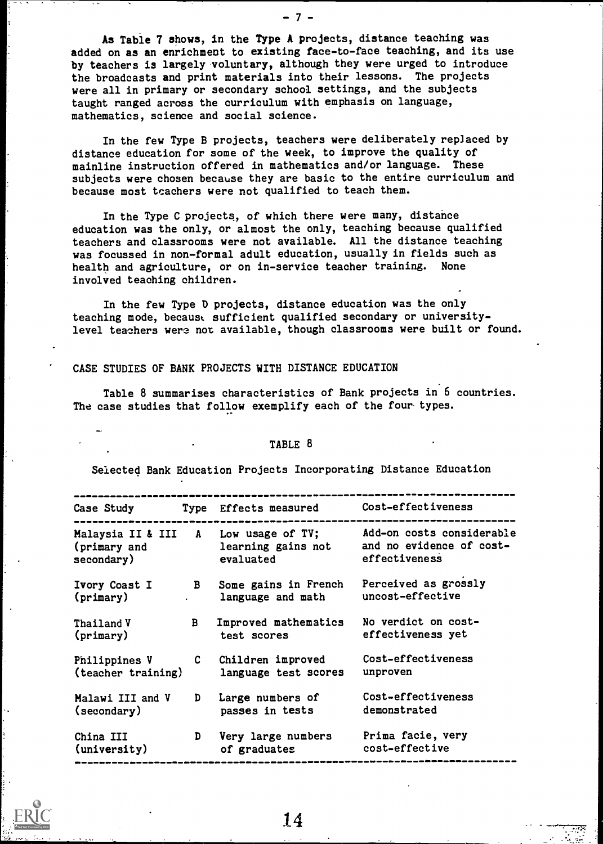As Table 7 shows, in the Type A projects, distance teaching was added on as an enrichment to existing face-to-face teaching, and its use by teachers is largely voluntary, although they were urged to introduce the broadcasts and print materials into their lessons. The projects were all in primary or secondary school settings, and the subjects taught ranged across the curriculum with emphasis on language, mathematics, science and social science.

-7-

In the few Type B projects, teachers were deliberately replaced by distance education for some of the week, to improve the quality of mainline instruction offered in mathematics and/or language. These subjects were chosen because they are basic to the entire curriculum and because most teachers were not qualified to teach them.

In the Type C projects, of which there were many, distance education was the only, or almost the only, teaching because qualified teachers and classrooms were not available. All the distance teaching was focussed in non-formal adult education, usually in fields such as health and agriculture, or on in-service teacher training. None involved teaching children.

In the few Type D projects, distance education was the only teaching mode, becaust sufficient qualified secondary or universitylevel teachers were not available, though classrooms were built or found.

# CASE STUDIES OF BANK PROJECTS WITH DISTANCE EDUCATION

Table 8 summarises characteristics of Bank projects in 6 countries. The case studies that follow exemplify each of the four types.

#### TABLE 8

Selected Bank Education Projects Incorporating Distance Education

| Case Study                 |              | Type Effects measured                                                   | Cost-effectiveness                                                     |
|----------------------------|--------------|-------------------------------------------------------------------------|------------------------------------------------------------------------|
| (primary and<br>secondary) |              | Malaysia II & III A Low usage of TV;<br>learning gains not<br>evaluated | Add-on costs considerable<br>and no evidence of cost-<br>effectiveness |
| (primary)                  |              | Ivory Coast I B Some gains in French<br>language and math               | Perceived as grossly<br>uncost-effective                               |
| Thailand V                 | $\mathbf{B}$ | Improved mathematics                                                    | No verdict on cost-                                                    |
| (primary)                  |              | test scores                                                             | effectiveness yet                                                      |
| Philippines V              |              | C Children improved                                                     | Cost-effectiveness                                                     |
| (teacher training)         |              | language test scores                                                    | unproven                                                               |
| Malawi III and V           |              | D Large numbers of                                                      | Cost-effectiveness                                                     |
| (secondary)                |              | passes in tests                                                         | demonstrated                                                           |
| China III                  | D            | Very large numbers                                                      | Prima facie, very                                                      |
| (university)               |              | of graduates                                                            | cost-effective                                                         |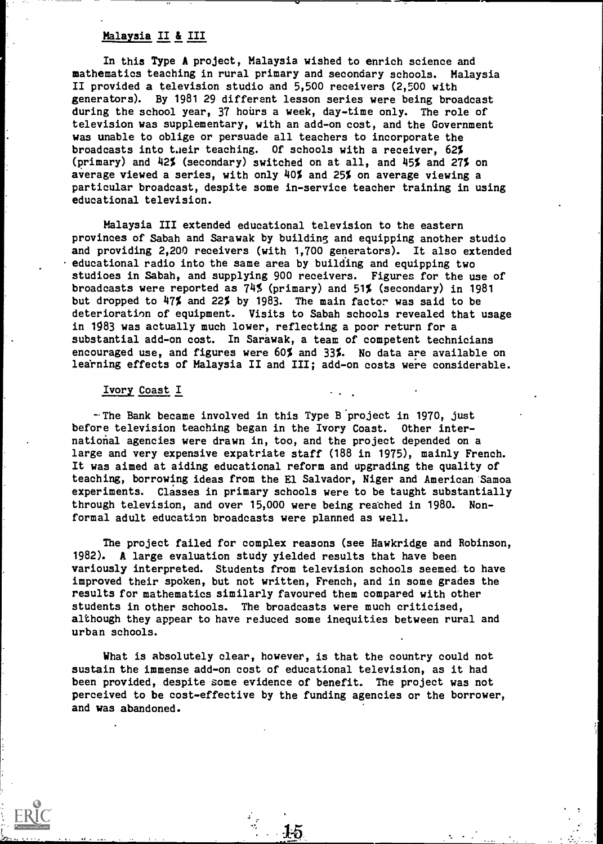# Nalayaia II & III

In this Type A project, Malaysia wished to enrich science and mathematics teaching in rural primary and secondary schools. Malaysia II provided a television studio and 5,500 receivers (2,500 with generators). By 1981 29 different lesson series were being broadcast during the school year, 37 hours a week, day-time only. The role of television was supplementary, with an add-on cost, and the Government was unable to oblige or persuade all teachers to incorporate the broadcasts into their teaching. Of schools with a receiver, 62% (primary) and 42% (secondary) switched on at all, and 45% and 27% on average viewed a series, with only 40% and 25% on average viewing a particular broadcast, despite some in-service teacher training in using educational television.

Malaysia III extended educational television to the eastern provinces of Sabah and Sarawak by building and equipping another studio and providing 2,200 receivers (with 1,700 generators). It also extended educational radio into the same area by building and equipping two studioes in Sabah, and supplying 900 receivers. Figures for the use of broadcasts were reported as 74% (primary) and 51% (secondary) in 1981 but dropped to 47% and 22% by 1983. The main factor was said to be deterioration of equipment. Visits to Sabah schools revealed that usage in 1g83 was actually much lower, reflecting a poor return for a substantial add-on cost. In Sarawak, a team of competent technicians encouraged use, and figures were 60% and 33%. No data are available on learning effects of Malaysia II and III; add-on costs were considerable.

### Ivory Coast I

 $-$ The Bank became involved in this Type B project in 1970, just before television teaching began in the Ivory Coast. Other international agencies were drawn in, too, and the project depended on a large and very expensive expatriate staff (188 in 1975), mainly French. It was aimed at aiding educational reform and upgrading the quality of teaching, borrowing ideas from the El Salvador, Niger and American Samoa experiments. Classes in primary schools were to be taught substantially through television, and over 15,000 were being reached in 1980. Nonformal adult education broadcasts were planned as well.

The project failed for complex reasons (see Hawkridge and Robinson, 1982). A large evaluation study yielded results that have been variously interpreted. Students from television schools seemed to have improved their spoken, but not written, French, and in some grades the results for mathematics similarly favoured them compared with other students in other schools. The broadcasts were much criticised, although they appear to have reiuced some inequities between rural and urban schools.

What is absolutely clear, however, is that the country could not sustain the immense add-on cost of educational television, as it had been provided, despite some evidence of benefit. The project was not perceived to be cost-effective by the funding agencies or the borrower, and was abandoned.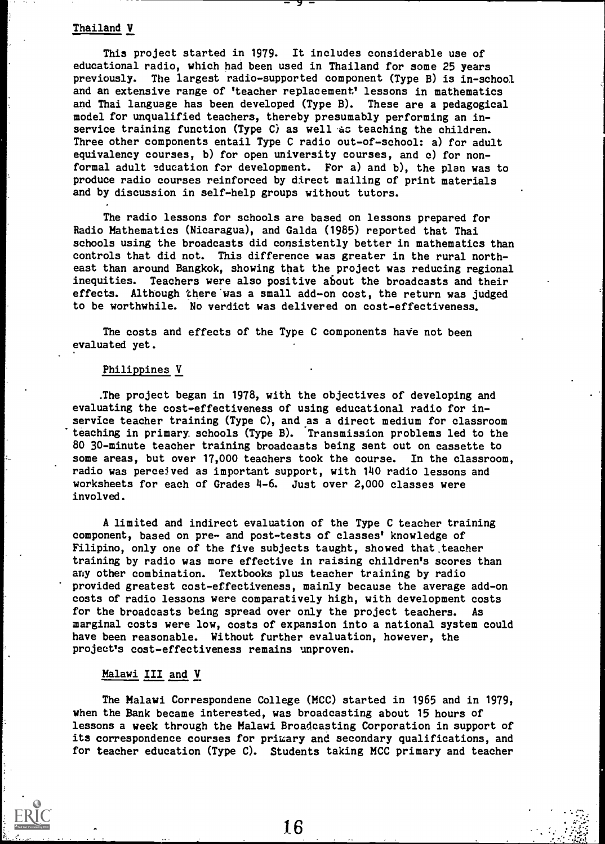## Thailand V

This project started in 1979. It includes considerable use of educational radio, which had been used in Thailand for some 25 years previously. The largest radio-supported component (Type B) is in-school and an extensive range of 'teacher replacement' lessons in mathematics and Thai language has been developed (Type B). These are a pedagogical model for unqualified teachers, thereby presumably performing an inservice training function (Type C) as well as teaching the children. Three other components entail Type C radio out-of-school: a) for adult equivalency courses, b) for open university courses, and c) for nonformal adult education for development. For a) and b), the plan was to produce radio courses reinforced by direct mailing of print materials and by discussion in self-help groups without tutors.

The radio lessons for schools are based on lessons prepared for Radio Mathematics (Nicaragua), and Galda (1985) reported that Thai schools using the broadcasts did consistently better in mathematics than controls that did not. This difference was greater in the rural northeast than around Bangkok, showing that the project was reducing regional inequities. Teachers were also positive about the broadcasts and their effects. Although there was a small add-on cost, the return was judged to be worthwhile. No verdict was delivered on cost-effectiveness.

The costs and effects of the Type C components have not been evaluated yet.

### Philippines V

.The project began in 1978, with the objectives of developing and evaluating the cost-effectiveness of using educational radio for inservice teacher training (Type C), and as a direct medium for classroom teaching in primary schools (Type B). Transmission problems led to the 80 30-minute teacher training broadcasts being sent out on cassette to some areas, but over 17,000 teachers took the course. In the classroom, radio was percejved as important support, with 140 radio lessons and worksheets for each of Grades 4-6. Just over 2,000 classes were involved.

A limited and indirect evaluation of the Type C teacher training component, based on pre- and post-tests of classes' knowledge of Filipino, only one of the five subjects taught, showed that teacher training by radio was more effective in raising children's scores than any other combination. Textbooks plus teacher training by radio provided greatest cost-effectiveness, mainly because the average add-on costs of radio lessons were comparatively high, with development costs for the broadcasts being spread over only the project teachers. As marginal costs were low, costs of expansion into a national system could have been reasonable. Without further evaluation, however, the project's cost-effectiveness remains unproven.

## Malawi III and V

The Malawi Correspondene College (MCC) started in 1965 and in 1979, when the Bank became interested, was broadcasting about 15 hours of lessons a week through the Malawi Broadcasting Corporation in support of its correspondence courses for primary and secondary qualifications, and for teacher education (Type C). Students taking MCC primary and teacher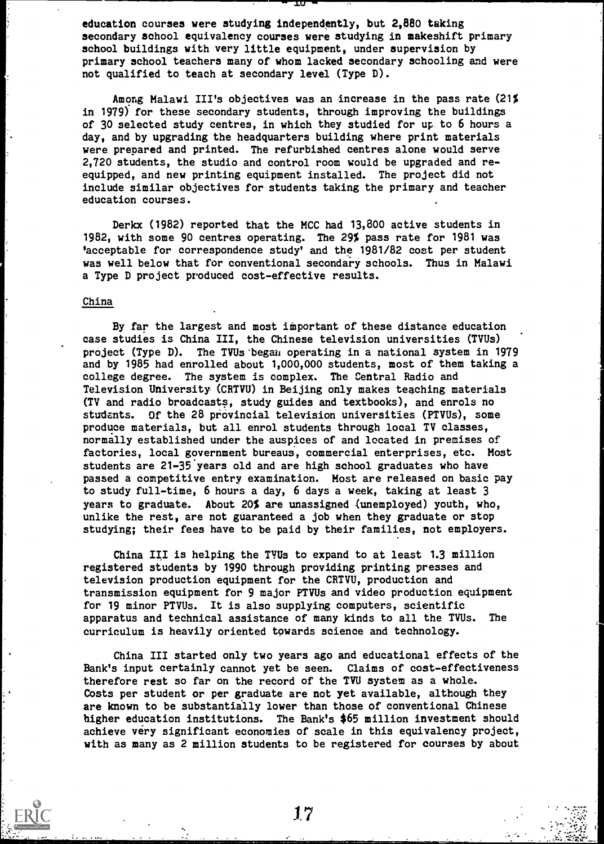education courses were studying independently, but 2,880 taking secondary school equivalency courses were studying in makeshift primary school buildings with very little equipment, under supervision by primary school teachers many of whom lacked secondary schooling and were not qualified to teach at secondary level (Type D).

Among Malawi III's objectives was an increase in the pass rate (21% in 1979) for these secondary students, through improving the buildings of 30 selected study centres, in which they studied for up to 6 hours a day, and by upgrading the headquarters building where print materials were prepared and printed. The refurbished centres alone would serve 2,720 students, the studio and control room would be upgraded and reequipped, and new printing equipment installed. The project did not include similar objectives for students taking the primary and teacher education courses.

Derkx (1982) reported that the MCC had 13,800 active students in 1982, with some 90 centres operating. The 29% pass rate for 1981 was 'acceptable for correspondence study' and the 1981/82 cost per student was well below that for conventional secondary schools. Thus in Malawi a Type D project produced cost-effective results.

### China

By far the largest and most important of these distance education case studies is China III, the Chinese television universities (TVUs) project (Type D). The TVUs 'began operating in a national system in 1979 and by 1985 had enrolled about 1,000,000 students, most of them taking a college degree. The system is complex. The Central Radio and Television University (CRTVU) in Beijing only makes teaching materials (TV and radio broadcasts, study guides and textbooks), and enrols no students. Of the 28 provincial television universities (PTVUs), some produce materials, but all enrol students through local TV classes, normally established under the auspices of and located in premises of factories, local government bureaus, commercial enterprises, etc. Most students are 21-35 years old and are high school graduates who have passed a competitive entry examination. Most are released on basic pay to study full-time, 6 hours a day, 6 days a week, taking at least 3 years to graduate. About 20% are unassigned (unemployed) youth, who, unlike the rest, are not guaranteed a job when they graduate or stop studying; their fees have to be paid by their families, not employers.

China III is helping the TVUs to expand to at least 1.3 million registered students by 1990 through providing printing presses and television production equipment for the CRTVU, production and transmission equipment for 9 major PTVUs and video production equipment for 19 minor PTVUs. It is also supplying computers, scientific apparatus and technical assistance of many kinds to all the TVUs. The curriculum is heavily oriented towards science and technology.

China III started only two years ago and educational effects of the Bank's input certainly cannot yet be seen. Claims of cost-effectiveness therefore rest so far on the record of the TVU system as a whole. Costs per student or per graduate are not yet available, although they are known to be substantially lower than those of conventional Chinese higher education institutions. The Bank's \$65 million investment should achieve very significant economies of scale in this equivalency project, with as many as 2 million students to be registered for courses by about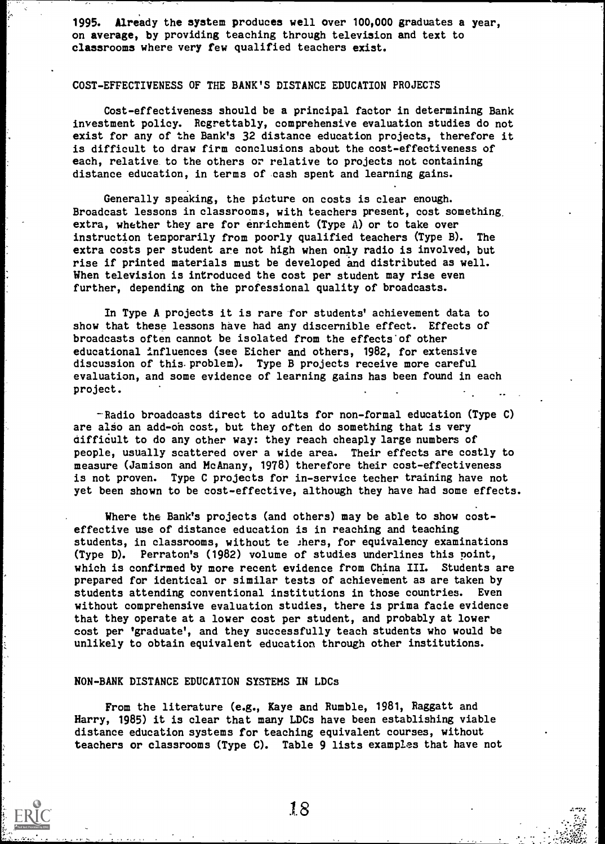1995. Already the system produces well over 100,000 graduates a year, on average, by providing teaching through television and text to classrooms where very few qualified teachers exist.

## COST-EFFECTIVENESS OF THE BANK'S DISTANCE EDUCATION PROJECTS

Cost-effectiveness should be a principal factor in determining Bank investment policy. Regrettably, comprehensive evaluation studies do not exist for any of the Bank's 32 distance education projects, therefore it is difficult to draw firm conclusions about the cost-effectiveness of each, relative to the others or relative to projects not containing distance education, in terms of cash spent and learning gains.

Generally speaking, the picture on costs is clear enough. Broadcast lessons in classrooms, with teachers present, cost something, extra, whether they are for enrichment (Type A) or to take over instruction temporarily from poorly qualified teachers (Type B). The extra costs per student are not high when only radio is involved, but rise if printed materials must be developed and distributed as well. When television is introduced the cost per student may rise even further, depending on the professional quality of broadcasts.

In Type A projects it is rare for students' achievement data to show that these lessons have had any discernible effect. Effects of broadcasts often cannot be isolated from the effects'of other educational influences (see Eicher and others, 1982, for extensive discussion of this. problem). Type B projects receive more careful evaluation, and some evidence of learning gains has been found in each project.

-Radio broadcasts direct to adults for non-formal education (Type C) are also an add-on cost, but they often do something that is very aifficult to do any other way: they reach cheaply large numbers of people, usually scattered over a wide area. Their effects are costly to measure (Jamison and McAnany, 1978) therefore their cost-effectiveness is not proven. Type C projects for in-service techer training have not yet been shown to be cost-effective, although they have had some effects.

Where the Bank's projects (and others) may be able to show costeffective use of distance education is in reaching and teaching students, in classrooms, without to :hers, for equivalency examinations (Type D). Perraton's (1982) volume of studies underlines this point, which is confirmed by more recent evidence from China III. Students are prepared for identical or similar tests of achievement as are taken by students attending conventional institutions in those countries. Even without comprehensive evaluation studies, there is prima facie evidence that they operate at a lower cost per student, and probably at lower cost per 'graduate', and they successfully teach students who would be unlikely to obtain equivalent education through other institutions.

### NON-BANK DISTANCE EDUCATION SYSTEMS IN LDCs

From the literature (e.g., Kaye and Rumble, 1981, Raggatt and Harry, 1985) it is clear that many LDCs have been establishing viable distance education systems for teaching equivalent courses, without teachers or classrooms (Type C). Table 9 lists examples that have not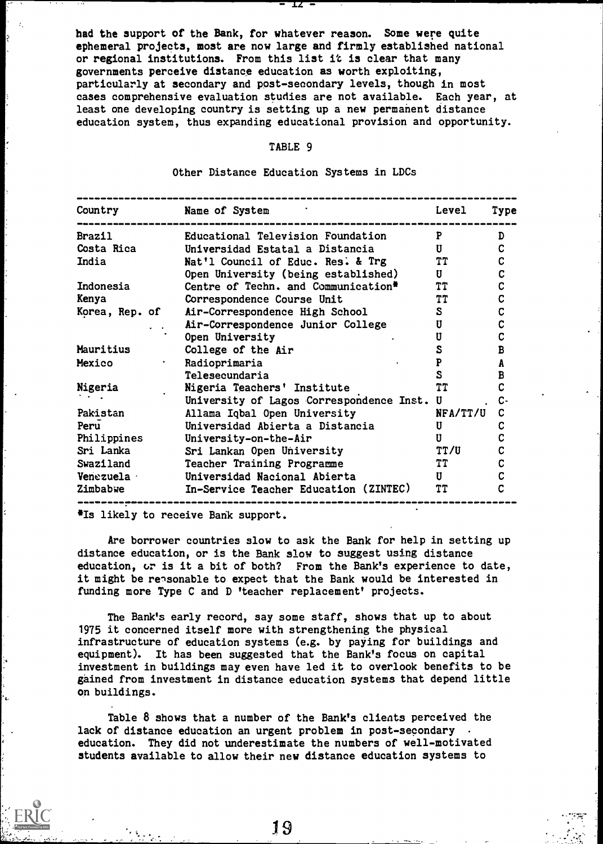had the support of the Bank, for whatever reason. Some were quite ephemeral projects, most are now large and firmly established national or regional institutions. From this list it is clear that many governments perceive distance education as worth exploiting, particularly at secondary and post-secondary levels, though in most cases comprehensive evaluation studies are not available. Each year, at least one developing country is setting up a new permanent distance education system, thus expanding educational provision and opportunity.

 $12 -$ 

### TABLE 9

Other Distance Education Systems in LDCs

| Country        | Name of System                                  | Level     | <b>Type</b> |
|----------------|-------------------------------------------------|-----------|-------------|
| Brazil         | Educational Television Foundation               | P         | D           |
| Costa Rica     | Universidad Estatal a Distancia                 | U         | $\mathbf c$ |
| India          | Nat'l Council of Educ. Res. & Trg               | <b>TT</b> | $\mathbf C$ |
|                | Open University (being established)             | U         | $\mathbf c$ |
| Indonesia      | Centre of Techn. and Communication <sup>#</sup> | <b>TT</b> | $\mathbf c$ |
| Kenya          | Correspondence Course Unit                      | TT        | $\mathbf c$ |
| Korea, Rep. of | Air-Correspondence High School                  | S         | C           |
|                | Air-Correspondence Junior College               | U         | $\mathbf c$ |
|                | Open University                                 | U         | C           |
| Mauritius      | College of the Air                              | S         | B           |
| Mexico         | Radioprimaria                                   | P         | A           |
|                | Telesecundaria                                  | S         | B           |
| Nigeria        | Nigeria Teachers' Institute                     | <b>TT</b> |             |
|                | University of Lagos Correspondence Inst.        | U         | C-          |
| Pakistan       | Allama Iqbal Open University                    | NFA/TT/U  | C           |
| Peru           | Universidad Abierta a Distancia                 | U         | C           |
| Philippines    | University-on-the-Air                           | П         | $\mathbf c$ |
| Sri Lanka      | Sri Lankan Open University                      | TT/U      | $\mathbf c$ |
| Swaziland      | Teacher Training Programme                      | TT        | C           |
| Venezuela ·    | Universidad Nacional Abierta                    | U         | $\mathbf c$ |
| Zimbabwe       | In-Service Teacher Education (ZINTEC)           | <b>TT</b> | C           |

Is likely to receive Bank support.

Are borrower countries slow to ask the Bank for help in setting up distance education, or is the Bank slow to suggest using distance education, or is it a bit of both? From the Bank's experience to date, it might be reasonable to expect that the Bank would be interested in funding more Type C and D 'teacher replacement' projects.

The Bank's early record, say some staff, shows that up to about 1975 it concerned itself more with strengthening the physical infrastructure of education systems (e.g. by paying for buildings and equipment). It has been suggested that the Bank's focus on capital investment in buildings may even have led it to overlook benefits to be gained from investment in distance education systems that depend little on buildings.

Table 8 shows that a number of the Bank's clients perceived the lack of distance education an urgent problem in post-secondary education. They did not underestimate the numbers of well-motivated students available to allow their new distance education systems to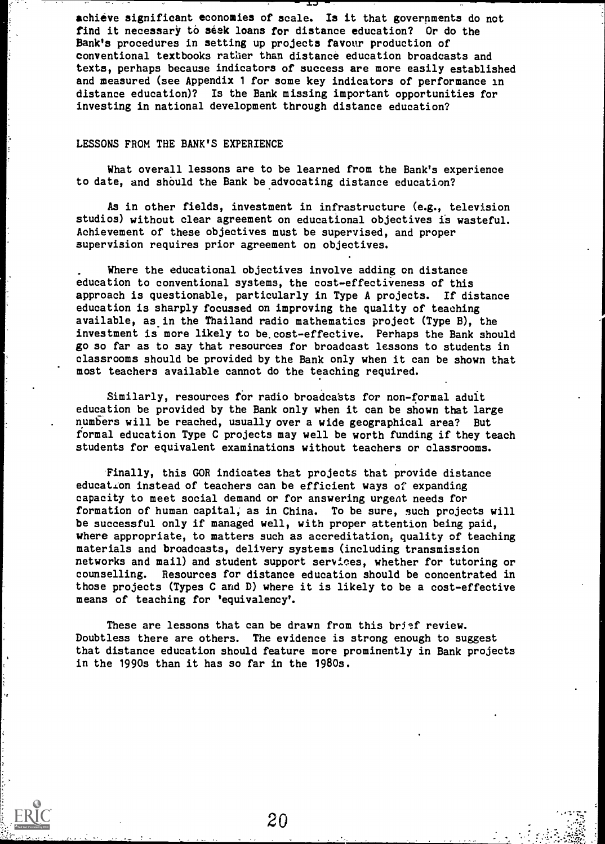achieve significant economies of scale. Is it that governments do not find it necessary to seek loans for distance education? Or do the Bank's procedures in setting up projects favour production of conventional textbooks rather than distance education broadcasts and texts, perhaps because indicators of success are more easily established and measured (see Appendix 1 for some key indicators of performance in distance education)? Is the Bank missing important opportunities for investing in national development through distance education?

#### LESSONS FROM THE BANK'S EXPERIENCE

What overall lessons are to be learned from the Bank's experience to date, and should the Bank be advocating distance education?

As in other fields, investment in infrastructure (e.g., television studios) without clear agreement on educational objectives is wasteful. Achievement of these objectives must be supervised, and proper supervision requires prior agreement on objectives.

Where the educational objectives involve adding on distance education to conventional systems, the cost-effectiveness of this approach is questionable, particularly in Type A projects. If distance education is sharply focussed on improving the quality of teaching available, as in the Thailand radio mathematics project (Type B), the investment is more likely to be.cost-effective. Perhaps the Bank should go so far as to say that resources for broadcast lessons to students in classrooms should be provided by the Bank only when it can be shown that most teachers available cannot do the teaching required.

Similarly, resources for radio broadcasts for non-formal adult education be provided by the Bank only when it can be shown that large numbers will be reached, usually over a wide geographical area? But formal education Type C projects may well be worth funding if they teach students for equivalent examinations without teachers or classrooms.

Finally, this GOR indicates that projects that provide distance education instead of teachers can be efficient ways of expanding capacity to meet social demand or for answering urgent needs for formation of human capital; as in China. To be sure, such projects will be successful only if managed well, with proper attention being paid, where appropriate, to matters such as accreditation, quality of teaching materials and broadcasts, delivery systems (including transmission networks and mail) and student support services, whether for tutoring or counselling. Resources for distance education should be concentrated in those projects (Types C and D) where it is likely to be a cost-effective means of teaching for 'equivalency'.

These are lessons that can be drawn from this brisf review. Doubtless there are others. The evidence is strong enough to suggest that distance education should feature more prominently in Bank projects in the 1990s than it has so far in the 1980s.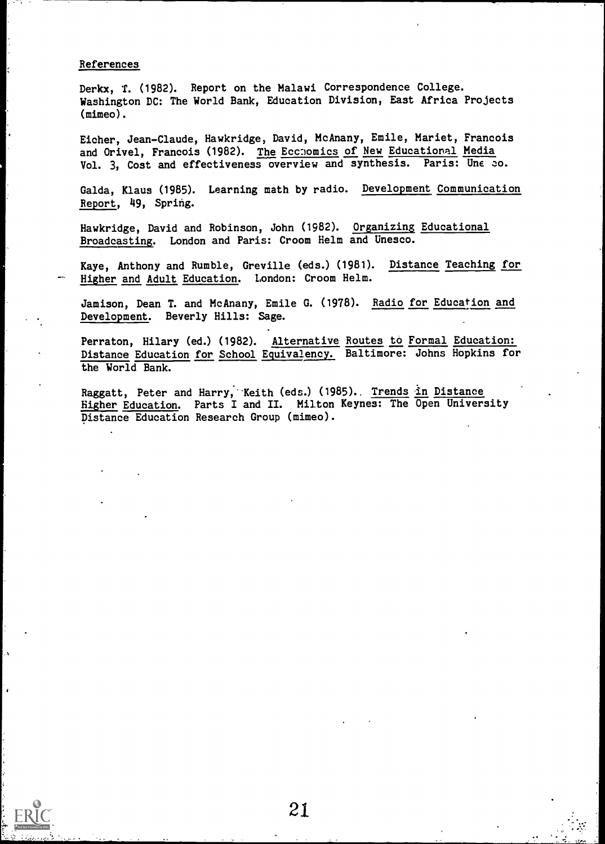### References

Derkx, T. (1982). Report on the Malawi Correspondence College. Washington DC: The World Bank, Education Division, East Africa Projects (mimeo).

Eicher, Jean-Claude, Hawkridge, David, McAnany, Emile, Mariet, Francois and Orivel, Francois (1982). The Eccnomics of New Educational Media Vol. 3, Cost and effectiveness overview and synthesis. Paris: Une co.

Galda, Klaus (1985). Learning math by radio. Development Communication Report, 49, Spring.

Hawkridge, David and Robinson, John (1982). Organizing Educational Broadcasting. London and Paris: Croom Helm and Unesco.

Kaye, Anthony and Rumble, Greville (eds.) (1981). Distance Teaching for Higher and Adult Education. London: Croom Helm.

Jamison, Dean T. and McAnany, Emile G. (1978). Radio for Education and Development. Beverly Hills: Sage.

Perraton, Hilary (ed.) (1982). Alternative Routes to Formal Education: Distance Education for School Equivalency. Baltimore: Johns Hopkins for the World Bank.

Raggatt, Peter and Harry, Keith (eds.) (1985). Trends in Distance Higher Education. Parts I and II. Milton Keynes: The Open University Distance Education Research Group (mimeo).